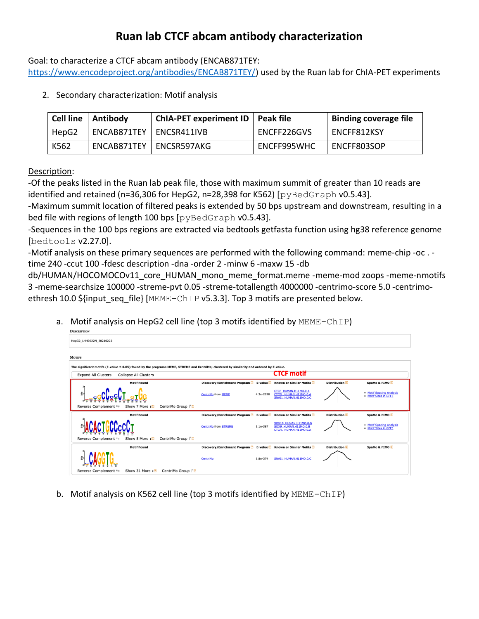## **Ruan lab CTCF abcam antibody characterization**

Goal: to characterize a CTCF abcam antibody (ENCAB871TEY:

[https://www.encodeproject.org/antibodies/ENCAB871TEY/\)](https://www.encodeproject.org/antibodies/ENCAB871TEY/) used by the Ruan lab for ChIA-PET experiments

2. Secondary characterization: Motif analysis

| <b>Cell line</b> | Antibody    | ChIA-PET experiment ID   Peak file |             | <b>Binding coverage file</b> |
|------------------|-------------|------------------------------------|-------------|------------------------------|
| HepG2            | ENCAB871TEY | ENCSR411IVB                        | ENCFF226GVS | ENCFF812KSY                  |
| K562             | ENCAB871TEY | ENCSR597AKG                        | ENCFF995WHC | ENCFF803SOP                  |

## Description:

-Of the peaks listed in the Ruan lab peak file, those with maximum summit of greater than 10 reads are identified and retained (n=36,306 for HepG2, n=28,398 for K562) [ $pyBedGraph V0.5.43$ ].

-Maximum summit location of filtered peaks is extended by 50 bps upstream and downstream, resulting in a bed file with regions of length 100 bps [pyBedGraph v0.5.43].

-Sequences in the 100 bps regions are extracted via bedtools getfasta function using hg38 reference genome [bedtools v2.27.0].

-Motif analysis on these primary sequences are performed with the following command: meme-chip -oc . time 240 -ccut 100 -fdesc description -dna -order 2 -minw 6 -maxw 15 -db

db/HUMAN/HOCOMOCOv11\_core\_HUMAN\_mono\_meme\_format.meme -meme-mod zoops -meme-nmotifs 3 -meme-searchsize 100000 -streme-pvt 0.05 -streme-totallength 4000000 -centrimo-score 5.0 -centrimoethresh 10.0 \${input\_seq\_file} [MEME-ChIP v5.3.3]. Top 3 motifs are presented below.

a. Motif analysis on HepG2 cell line (top 3 motifs identified by MEME-ChIP)

| <b>DESCRIPTION</b>                                                                                                                       |                                                                                                     |                                                                         |                     |                                                   |  |  |  |  |  |
|------------------------------------------------------------------------------------------------------------------------------------------|-----------------------------------------------------------------------------------------------------|-------------------------------------------------------------------------|---------------------|---------------------------------------------------|--|--|--|--|--|
| HepG2_LHH0022N_20210222                                                                                                                  |                                                                                                     |                                                                         |                     |                                                   |  |  |  |  |  |
| <b>MOTIFS</b>                                                                                                                            |                                                                                                     |                                                                         |                     |                                                   |  |  |  |  |  |
| The significant motifs (E-value ≤ 0.05) found by the programs MEME, STREME and CentriMo; clustered by similarity and ordered by E-value. |                                                                                                     |                                                                         |                     |                                                   |  |  |  |  |  |
| <b>Expand All Clusters</b><br><b>Collapse All Clusters</b>                                                                               |                                                                                                     | <b>CTCF motif</b>                                                       |                     |                                                   |  |  |  |  |  |
| <b>Motif Found</b>                                                                                                                       | Discovery/Enrichment Program 2 E-value 2 Known or Similar Motifs 2                                  |                                                                         | <b>Distribution</b> | SpaMo & FIMO 2                                    |  |  |  |  |  |
|                                                                                                                                          | 4.3e-2298<br><b>CentriMo from MEME</b>                                                              | CTCF HUMAN, H11MO.O.A<br>CTCFL HUMAN.H11MO.0.A<br>SNAI1 HUMAN.H11MO.O.C |                     | . Motif Spacing Analysis<br>• Motif Sites in GFF3 |  |  |  |  |  |
| Show 7 More In<br>CentriMo Group   m<br>Reverse Complement ≒                                                                             |                                                                                                     |                                                                         |                     |                                                   |  |  |  |  |  |
| <b>Motif Found</b>                                                                                                                       | Discovery/Enrichment Program <sup>?</sup> E-value <sup>?</sup> Known or Similar Motifs <sup>?</sup> |                                                                         | <b>Distribution</b> | SpaMo & FIMO                                      |  |  |  |  |  |
|                                                                                                                                          | <b>CentriMo from STREME</b><br>1.1e-387                                                             | SOX10 HUMAN.H11MO.0.B<br>SOX9 HUMAN.H11MO.0.B<br>CTCFL HUMAN.H11MO.0.A  |                     | . Motif Spacing Analysis<br>• Motif Sites in GFF3 |  |  |  |  |  |
| CentriMo Group   2<br>Reverse Complement =<br>Show 5 More $\overline{z}$                                                                 |                                                                                                     |                                                                         |                     |                                                   |  |  |  |  |  |
| <b>Motif Found</b>                                                                                                                       | Discovery/Enrichment Program 2 E-value 2 Known or Similar Motifs 2                                  |                                                                         | <b>Distribution</b> | SpaMo & FIMO 2                                    |  |  |  |  |  |
|                                                                                                                                          | 8.8e-374<br>CentriMo                                                                                | SNAI1 HUMAN.H11MO.O.C                                                   |                     |                                                   |  |  |  |  |  |
| Reverse Complement =<br>Show 31 More IT<br>CentriMo Group   图                                                                            |                                                                                                     |                                                                         |                     |                                                   |  |  |  |  |  |

b. Motif analysis on K562 cell line (top 3 motifs identified by MEME-ChIP)